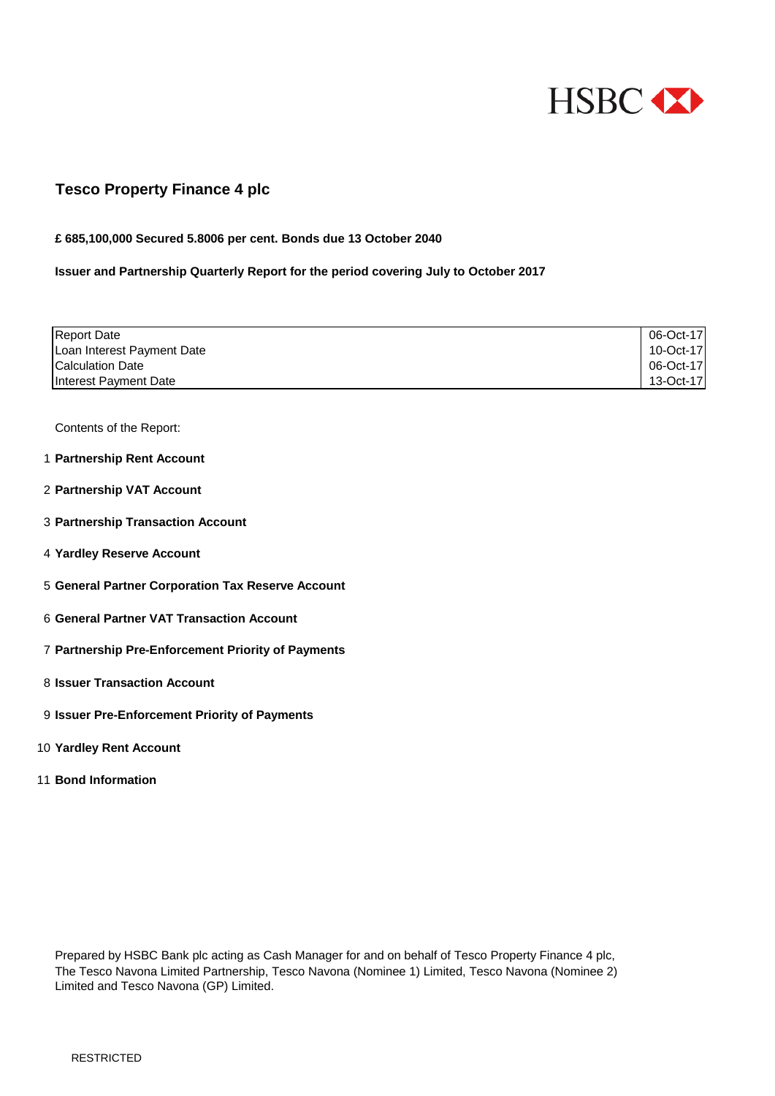

### **Tesco Property Finance 4 plc**

#### **£ 685,100,000 Secured 5.8006 per cent. Bonds due 13 October 2040**

#### **Issuer and Partnership Quarterly Report for the period covering July to October 2017**

| <b>Report Date</b>                | 06-Oct-17 |
|-----------------------------------|-----------|
| Loan Interest Payment Date        | 10-Oct-17 |
| <b>Calculation Date</b>           | 06-Oct-17 |
| Interest Payment Date             | 13-Oct-17 |
|                                   |           |
|                                   |           |
| Contents of the Report:           |           |
|                                   |           |
| 1 Partnership Rent Account        |           |
|                                   |           |
| 2 Partnership VAT Account         |           |
|                                   |           |
| 3 Partnership Transaction Account |           |
|                                   |           |
| 4 Yardley Reserve Account         |           |
|                                   |           |

- 5 **General Partner Corporation Tax Reserve Account**
- 6 **General Partner VAT Transaction Account**
- 7 **Partnership Pre-Enforcement Priority of Payments**
- 8 **Issuer Transaction Account**
- 9 **Issuer Pre-Enforcement Priority of Payments**
- 10 **Yardley Rent Account**
- 11 **Bond Information**

Prepared by HSBC Bank plc acting as Cash Manager for and on behalf of Tesco Property Finance 4 plc, The Tesco Navona Limited Partnership, Tesco Navona (Nominee 1) Limited, Tesco Navona (Nominee 2) Limited and Tesco Navona (GP) Limited.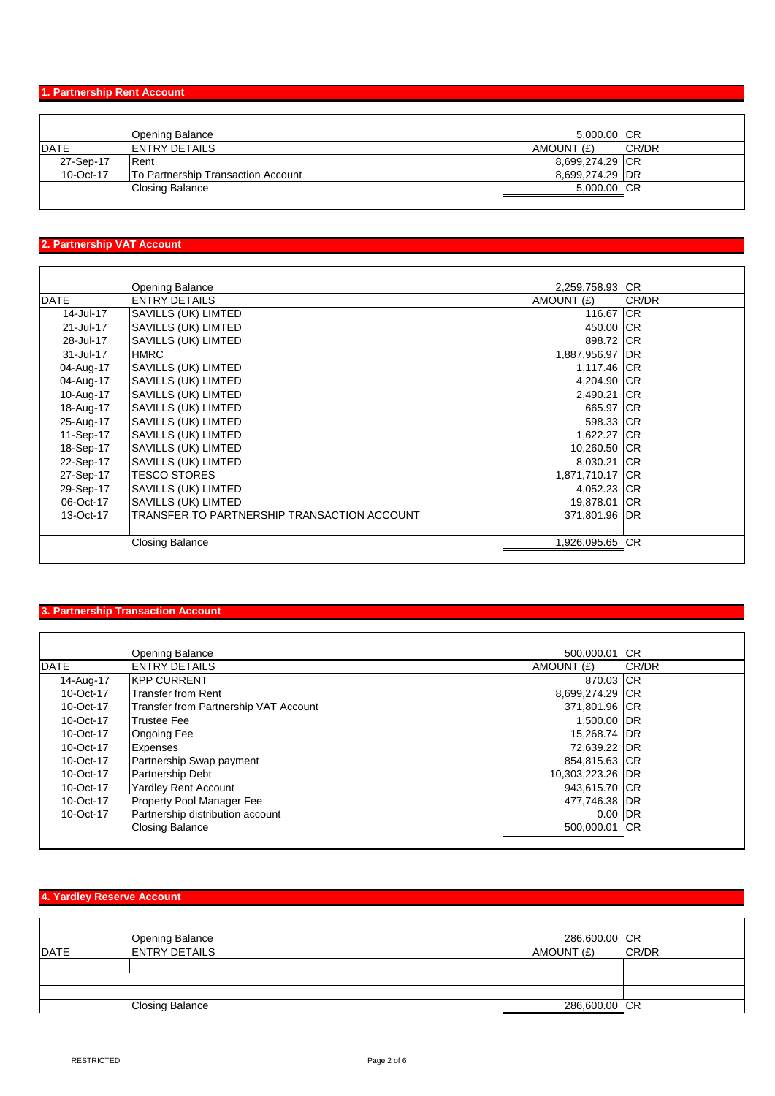## **1. Partnership Rent Account**

|             | Opening Balance                           | 5,000.00 CR     |       |
|-------------|-------------------------------------------|-----------------|-------|
| <b>DATE</b> | <b>ENTRY DETAILS</b>                      | AMOUNT (£)      | CR/DR |
| 27-Sep-17   | Rent                                      | 8,699,274.29 CR |       |
| 10-Oct-17   | <b>To Partnership Transaction Account</b> | 8,699,274.29 DR |       |
|             | <b>Closing Balance</b>                    | 5,000.00 CR     |       |
|             |                                           |                 |       |

## **2. Partnership VAT Account**

|             |                                                | 2,259,758.93 CR |       |
|-------------|------------------------------------------------|-----------------|-------|
| <b>DATE</b> | <b>Opening Balance</b><br><b>ENTRY DETAILS</b> | AMOUNT (£)      | CR/DR |
| 14-Jul-17   | SAVILLS (UK) LIMTED                            | 116.67 CR       |       |
| 21-Jul-17   | SAVILLS (UK) LIMTED                            | 450.00 CR       |       |
| 28-Jul-17   | SAVILLS (UK) LIMTED                            | 898.72 CR       |       |
| 31-Jul-17   | <b>HMRC</b>                                    | 1,887,956.97 DR |       |
| 04-Aug-17   | SAVILLS (UK) LIMTED                            | 1,117.46 CR     |       |
| 04-Aug-17   | SAVILLS (UK) LIMTED                            | 4,204.90 CR     |       |
| 10-Aug-17   | SAVILLS (UK) LIMTED                            | 2,490.21 CR     |       |
| 18-Aug-17   | SAVILLS (UK) LIMTED                            | 665.97 CR       |       |
| 25-Aug-17   | SAVILLS (UK) LIMTED                            | 598.33 CR       |       |
| 11-Sep-17   | SAVILLS (UK) LIMTED                            | 1,622.27 CR     |       |
| 18-Sep-17   | SAVILLS (UK) LIMTED                            | 10,260.50 CR    |       |
| 22-Sep-17   | SAVILLS (UK) LIMTED                            | 8,030.21 CR     |       |
| 27-Sep-17   | <b>TESCO STORES</b>                            | 1,871,710.17 CR |       |
| 29-Sep-17   | SAVILLS (UK) LIMTED                            | 4,052.23 CR     |       |
| 06-Oct-17   | SAVILLS (UK) LIMTED                            | 19,878.01 CR    |       |
| 13-Oct-17   | TRANSFER TO PARTNERSHIP TRANSACTION ACCOUNT    | 371,801.96 DR   |       |
|             | <b>Closing Balance</b>                         | 1,926,095.65 CR |       |
|             |                                                |                 |       |

# **3. Partnership Transaction Account**

|           | <b>Opening Balance</b>                | 500,000.01 CR    |       |
|-----------|---------------------------------------|------------------|-------|
|           |                                       |                  |       |
| DATE      | <b>ENTRY DETAILS</b>                  | AMOUNT (£)       | CR/DR |
| 14-Aug-17 | <b>KPP CURRENT</b>                    | 870.03 CR        |       |
| 10-Oct-17 | <b>Transfer from Rent</b>             | 8,699,274.29 CR  |       |
| 10-Oct-17 | Transfer from Partnership VAT Account | 371,801.96 CR    |       |
| 10-Oct-17 | <b>Trustee Fee</b>                    | 1,500.00 DR      |       |
| 10-Oct-17 | <b>Ongoing Fee</b>                    | 15,268.74 DR     |       |
| 10-Oct-17 | <b>Expenses</b>                       | 72,639.22 DR     |       |
| 10-Oct-17 | Partnership Swap payment              | 854,815.63 CR    |       |
| 10-Oct-17 | Partnership Debt                      | 10,303,223.26 DR |       |
| 10-Oct-17 | <b>Yardley Rent Account</b>           | 943,615.70 CR    |       |
| 10-Oct-17 | <b>Property Pool Manager Fee</b>      | 477,746.38 DR    |       |
| 10-Oct-17 | Partnership distribution account      | $0.00$ DR        |       |
|           | <b>Closing Balance</b>                | 500,000.01 CR    |       |
|           |                                       |                  |       |

|             | <b>Opening Balance</b> | 286,600.00 CR       |  |
|-------------|------------------------|---------------------|--|
| <b>DATE</b> | <b>ENTRY DETAILS</b>   | AMOUNT (£)<br>CR/DR |  |
|             |                        |                     |  |
|             |                        |                     |  |
|             |                        |                     |  |
|             | <b>Closing Balance</b> | 286,600.00 CR       |  |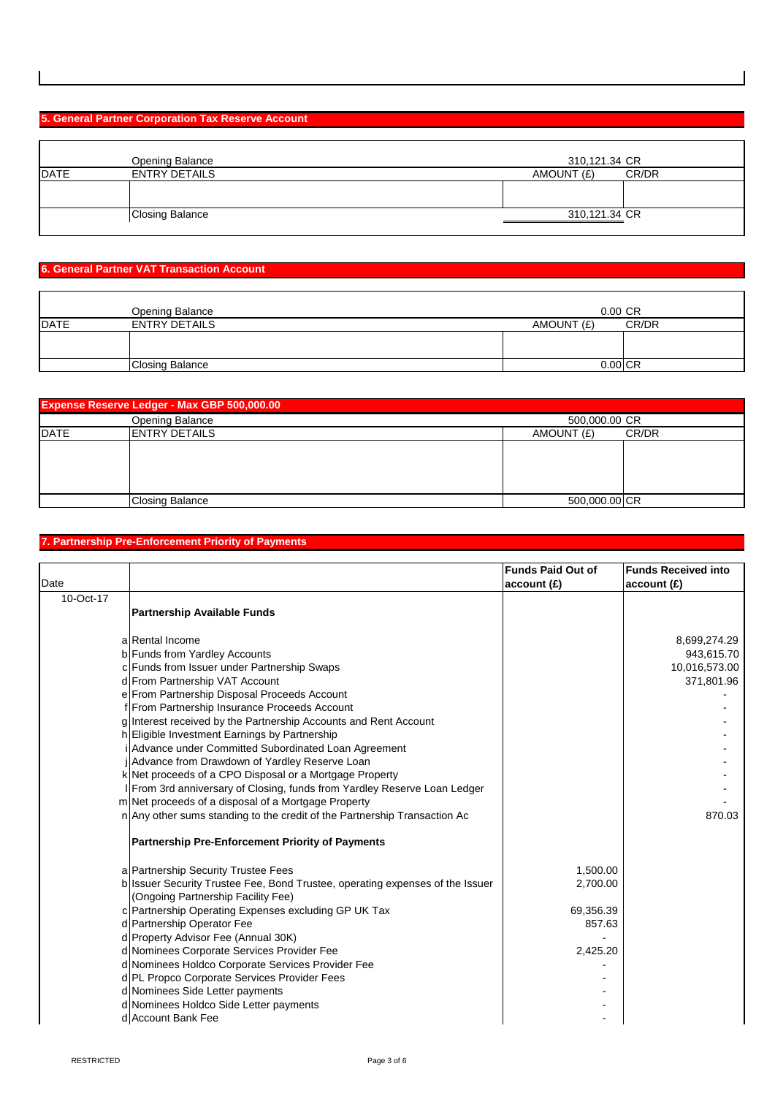#### **5. General Partner Corporation Tax Reserve Account**

|             | <b>Opening Balance</b> | 310,121.34 CR       |
|-------------|------------------------|---------------------|
| <b>DATE</b> | <b>ENTRY DETAILS</b>   | AMOUNT (£)<br>CR/DR |
|             |                        |                     |
|             | Closing Balance        | 310,121.34 CR       |

#### **6. General Partner VAT Transaction Account**

|      | <b>Opening Balance</b> | $0.00 \text{ CR}$ |       |
|------|------------------------|-------------------|-------|
| DATE | <b>ENTRY DETAILS</b>   | AMOUNT (£)        | CR/DR |
|      |                        |                   |       |
|      |                        |                   |       |
|      | <b>Closing Balance</b> | $0.00$ CR         |       |

| <b>Expense Reserve Ledger - Max GBP 500,000.00</b> |                                         |                     |               |  |
|----------------------------------------------------|-----------------------------------------|---------------------|---------------|--|
|                                                    | <b>Opening Balance</b><br>500,000.00 CR |                     |               |  |
| DATE                                               | <b>ENTRY DETAILS</b>                    | AMOUNT (£)<br>CR/DR |               |  |
|                                                    |                                         |                     |               |  |
|                                                    |                                         |                     |               |  |
|                                                    |                                         |                     |               |  |
|                                                    |                                         |                     |               |  |
|                                                    | <b>Closing Balance</b>                  |                     | 500,000.00 CR |  |

#### **7. Partnership Pre-Enforcement Priority of Payments**

| Date      |                                                                           | <b>Funds Paid Out of</b><br>account(E) | <b>Funds Received into</b><br>account(E) |
|-----------|---------------------------------------------------------------------------|----------------------------------------|------------------------------------------|
| 10-Oct-17 |                                                                           |                                        |                                          |
|           | Partnership Available Funds                                               |                                        |                                          |
|           | a Rental Income                                                           |                                        | 8,699,274.29                             |
|           | b Funds from Yardley Accounts                                             |                                        | 943,615.70                               |
|           | c Funds from Issuer under Partnership Swaps                               |                                        | 10,016,573.00                            |
|           | d From Partnership VAT Account                                            |                                        | 371,801.96                               |
|           | e From Partnership Disposal Proceeds Account                              |                                        |                                          |
|           | f From Partnership Insurance Proceeds Account                             |                                        |                                          |
|           | g Interest received by the Partnership Accounts and Rent Account          |                                        |                                          |
|           | h Eligible Investment Earnings by Partnership                             |                                        |                                          |
|           | i Advance under Committed Subordinated Loan Agreement                     |                                        |                                          |
|           | jAdvance from Drawdown of Yardley Reserve Loan                            |                                        |                                          |
|           | k Net proceeds of a CPO Disposal or a Mortgage Property                   |                                        |                                          |
|           | I From 3rd anniversary of Closing, funds from Yardley Reserve Loan Ledger |                                        |                                          |
|           | m Net proceeds of a disposal of a Mortgage Property                       |                                        |                                          |
|           | n Any other sums standing to the credit of the Partnership Transaction Ac |                                        | 870.03                                   |
|           | Partnership Pre-Enforcement Priority of Payments                          |                                        |                                          |
|           |                                                                           |                                        |                                          |

a Partnership Security Trustee Fees 1,500.00 b|Issuer Security Trustee Fee, Bond Trustee, operating expenses of the Issuer |  $\hspace{1.5cm}$  2,700.00 c Partnership Operating Expenses excluding GP UK Tax 69,356.39 d Partnership Operator Fee 857.63 d Property Advisor Fee (Annual 30K) and the control of the control of the control of the control of the control of the control of the control of the control of the control of the control of the control of the control of th d Nominees Corporate Services Provider Fee 2,425.20 d Nominees Holdco Corporate Services Provider Fee d PL Propco Corporate Services Provider Fees - The Contract of The Contract of The Contract of The Contract of d Nominees Side Letter payments **and the set of the set of the set of the set of the set of the set of the set of the set of the set of the set of the set of the set of the set of the set of the set of the set of the set o** d Nominees Holdco Side Letter payments and the state of the state of the state of the state of the state of the state of the state of the state of the state of the state of the state of the state of the state of the state d Account Bank Fee (Ongoing Partnership Facility Fee)

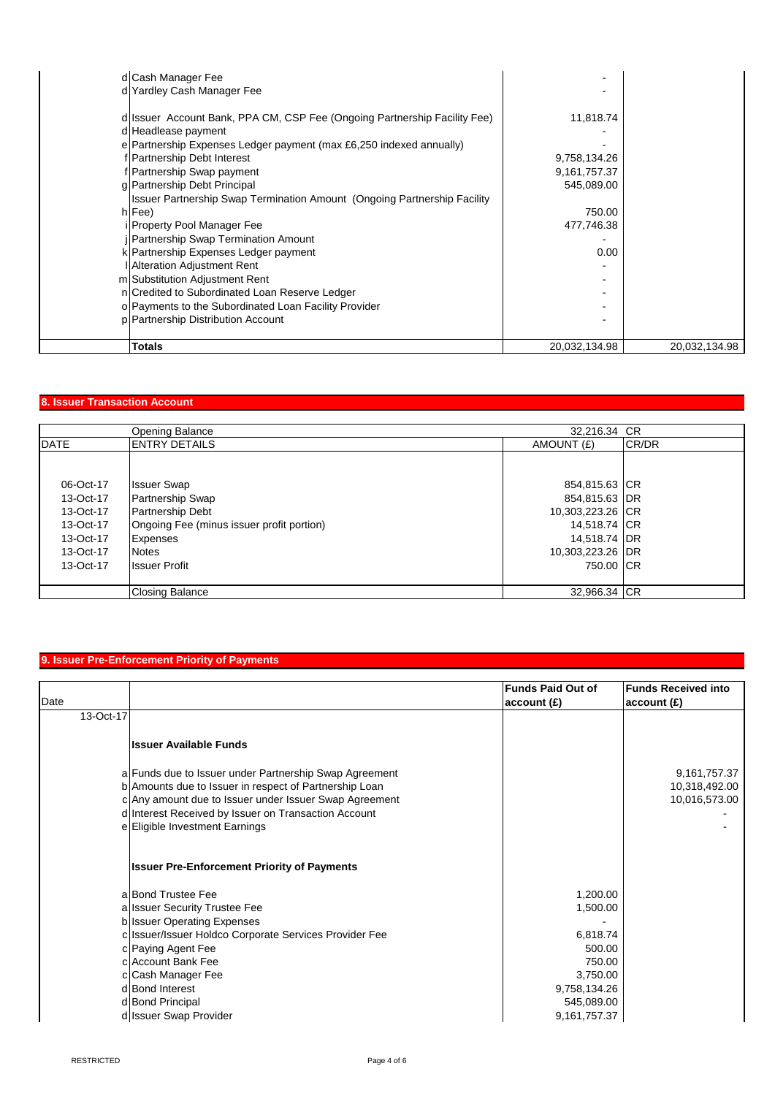| d Cash Manager Fee                                                                                                                                                                                                                                                                                                                               |                                                         |               |
|--------------------------------------------------------------------------------------------------------------------------------------------------------------------------------------------------------------------------------------------------------------------------------------------------------------------------------------------------|---------------------------------------------------------|---------------|
| d Yardley Cash Manager Fee                                                                                                                                                                                                                                                                                                                       |                                                         |               |
| d Issuer Account Bank, PPA CM, CSP Fee (Ongoing Partnership Facility Fee)<br>d Headlease payment<br>e Partnership Expenses Ledger payment (max £6,250 indexed annually)<br>f Partnership Debt Interest<br>f Partnership Swap payment<br>g Partnership Debt Principal<br>Issuer Partnership Swap Termination Amount (Ongoing Partnership Facility | 11,818.74<br>9,758,134.26<br>9,161,757.37<br>545,089.00 |               |
| $h$ Fee)                                                                                                                                                                                                                                                                                                                                         | 750.00                                                  |               |
| i Property Pool Manager Fee<br>  Partnership Swap Termination Amount                                                                                                                                                                                                                                                                             | 477,746.38                                              |               |
| k Partnership Expenses Ledger payment                                                                                                                                                                                                                                                                                                            | 0.00                                                    |               |
| <b>I</b> Alteration Adjustment Rent<br>m Substitution Adjustment Rent                                                                                                                                                                                                                                                                            |                                                         |               |
| n Credited to Subordinated Loan Reserve Ledger                                                                                                                                                                                                                                                                                                   |                                                         |               |
| o Payments to the Subordinated Loan Facility Provider                                                                                                                                                                                                                                                                                            |                                                         |               |
| p   Partnership Distribution Account                                                                                                                                                                                                                                                                                                             |                                                         |               |
| Totals                                                                                                                                                                                                                                                                                                                                           | 20,032,134.98                                           | 20,032,134.98 |

### **8. Issuer Transaction Account**

|             | <b>Opening Balance</b>                    | 32,216.34 CR     |       |
|-------------|-------------------------------------------|------------------|-------|
| <b>DATE</b> | <b>ENTRY DETAILS</b>                      | AMOUNT (£)       | CR/DR |
|             |                                           |                  |       |
|             |                                           |                  |       |
| 06-Oct-17   | <b>Issuer Swap</b>                        | 854,815.63 CR    |       |
| 13-Oct-17   | Partnership Swap                          | 854,815.63 DR    |       |
| 13-Oct-17   | Partnership Debt                          | 10,303,223.26 CR |       |
| 13-Oct-17   | Ongoing Fee (minus issuer profit portion) | 14,518.74 CR     |       |
| 13-Oct-17   | Expenses                                  | 14,518.74 DR     |       |
| 13-Oct-17   | Notes                                     | 10,303,223.26 DR |       |
| 13-Oct-17   | <b>Issuer Profit</b>                      | 750.00 CR        |       |
|             |                                           |                  |       |
|             | <b>Closing Balance</b>                    | 32,966.34 CR     |       |

### **9. Issuer Pre-Enforcement Priority of Payments**

| Date      |                                                                                                                                                                                                                                                                                 | <b>Funds Paid Out of</b><br>account(E)                                                                         | <b>Funds Received into</b><br>account(E)       |
|-----------|---------------------------------------------------------------------------------------------------------------------------------------------------------------------------------------------------------------------------------------------------------------------------------|----------------------------------------------------------------------------------------------------------------|------------------------------------------------|
| 13-Oct-17 |                                                                                                                                                                                                                                                                                 |                                                                                                                |                                                |
|           | <b>Issuer Available Funds</b>                                                                                                                                                                                                                                                   |                                                                                                                |                                                |
|           | a Funds due to Issuer under Partnership Swap Agreement<br>b Amounts due to Issuer in respect of Partnership Loan<br>c Any amount due to Issuer under Issuer Swap Agreement<br>d Interest Received by Issuer on Transaction Account<br>e Eligible Investment Earnings            |                                                                                                                | 9,161,757.37<br>10,318,492.00<br>10,016,573.00 |
|           | <b>Issuer Pre-Enforcement Priority of Payments</b>                                                                                                                                                                                                                              |                                                                                                                |                                                |
|           | a Bond Trustee Fee<br>a Issuer Security Trustee Fee<br>b Issuer Operating Expenses<br>c Issuer/Issuer Holdco Corporate Services Provider Fee<br>c Paying Agent Fee<br>clAccount Bank Fee<br>c Cash Manager Fee<br>d Bond Interest<br>d Bond Principal<br>d Issuer Swap Provider | 1,200.00<br>1,500.00<br>6,818.74<br>500.00<br>750.00<br>3,750.00<br>9,758,134.26<br>545,089.00<br>9,161,757.37 |                                                |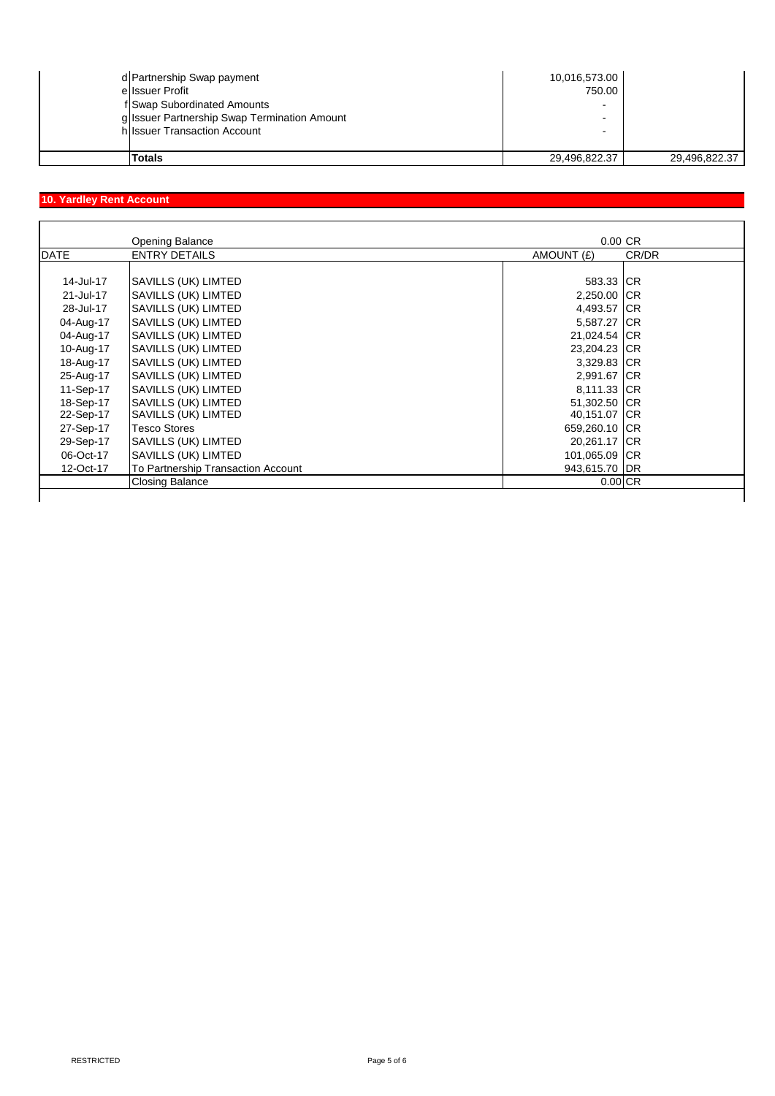| d Partnership Swap payment                   | 10,016,573.00 |               |
|----------------------------------------------|---------------|---------------|
| ellssuer Profit                              | 750.00        |               |
| f Swap Subordinated Amounts                  |               |               |
| g Issuer Partnership Swap Termination Amount |               |               |
| h Issuer Transaction Account                 | -             |               |
| Totals                                       | 29,496,822.37 | 29,496,822.37 |

# **10. Yardley Rent Account**

|             | <b>Opening Balance</b>             | $0.00 \, \text{CR}$ |       |
|-------------|------------------------------------|---------------------|-------|
| <b>DATE</b> | <b>ENTRY DETAILS</b>               | AMOUNT (£)          | CR/DR |
|             |                                    |                     |       |
| 14-Jul-17   | SAVILLS (UK) LIMTED                | 583.33 CR           |       |
| 21-Jul-17   | SAVILLS (UK) LIMTED                | 2,250.00 CR         |       |
| 28-Jul-17   | SAVILLS (UK) LIMTED                | 4,493.57 CR         |       |
| 04-Aug-17   | SAVILLS (UK) LIMTED                | 5,587.27 CR         |       |
| 04-Aug-17   | SAVILLS (UK) LIMTED                | 21,024.54 CR        |       |
| 10-Aug-17   | SAVILLS (UK) LIMTED                | 23,204.23 CR        |       |
| 18-Aug-17   | SAVILLS (UK) LIMTED                | 3,329.83 CR         |       |
| 25-Aug-17   | SAVILLS (UK) LIMTED                | 2,991.67 CR         |       |
| 11-Sep-17   | SAVILLS (UK) LIMTED                | 8,111.33 CR         |       |
| 18-Sep-17   | <b>SAVILLS (UK) LIMTED</b>         | 51,302.50 CR        |       |
| 22-Sep-17   | SAVILLS (UK) LIMTED                | 40,151.07 CR        |       |
| 27-Sep-17   | Tesco Stores                       | 659,260.10 CR       |       |
| 29-Sep-17   | SAVILLS (UK) LIMTED                | 20,261.17 CR        |       |
| 06-Oct-17   | SAVILLS (UK) LIMTED                | 101,065.09 CR       |       |
| 12-Oct-17   | To Partnership Transaction Account | 943,615.70 DR       |       |
|             | <b>Closing Balance</b>             | $0.00$ CR           |       |